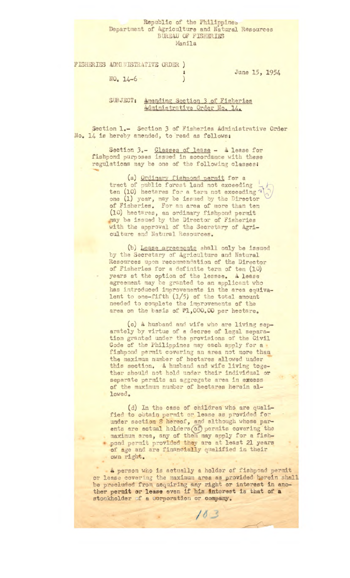## Republic of the Philippines Department of Agriculture and Natural Resources BUREAU OF FISHERIES Manila

FISHERIES ADMINISTRATIVE ORDER )

 $NO<sub>o</sub> 14-6$ 

Jane 15, 1954

## SUBJECT: Amending Section 3 of Fisheries Administrative Order No. 14.

Section 1.- Section 3 of Fisheries Administrative Order No. 14 is hereby amended, to read as follows;

Section 3.- Classes of lease - A lease for fishpond purposes issued in accordance with these regulations may be one of the following classes:

(a) Ordinary fishpond permit for a tract of public forest land not exceeding  $\rightarrow$ ten (10) hectares for a term not exceeding  $\sqrt{2}$ one (1) year, may be issued by the Director of Fisheries. For an area of more than ten (10) hectares, an ordinary fishpond permit may be issued by the Director of Fisheries with the approval of the Secretary of Agriculture and Natural Resources.

(b) Lease areemonts shall only he Issued by the Secretary of Agriculture and Natural Resources upon recommendation of the Director of Fisheries for a definite term of ten (10) years at the option of the lessee. A lease agreement may be granted to an applicant who has introduced improvements in the area equivalent to one-fifth (1/5) of the total amount needed to complete the improvements of the area on the basis of #1,000.00 per hectare.

(c) A husband and wife who are living separately by virtue of a decree of legal separation granted under the provisions of the Civil Gode of the Philippines may each apply for a fishpond permit covering an area not more than the maximum number of hectares allowed under this section. A husband and wife living together should not hold under their individual or separate permits an aggregate area in excess of the maximum number of hectares herein allowed,

(d) In the case of children who are qualified to obtain permit or lease as provided for under section 8 hereof, and although whose parents are actual holders (of) permits covering the maximum area, any of them may apply for a fishpond permit provided they are at least 21 years of age and are financially qualified in their own right.

A person who is actually a holder of fishpond permit or lease covering the maximum area as provided herein shall be precluded from acquiring any right or interest in another permit or lease even if his interest is that of a stockholder of a corporation or company.

 $103$